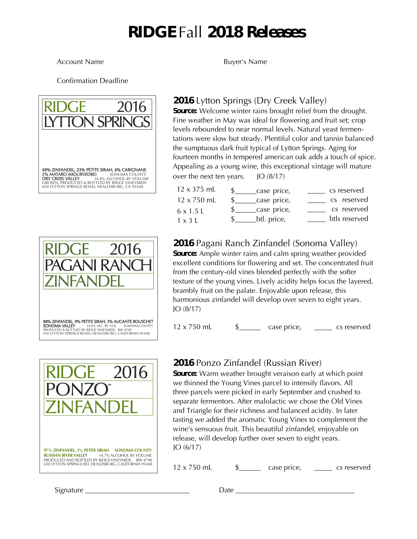# RIDGE Fall 2018 Releases

#### Account Name **Buyer's** Name

Confirmation Deadline







### 2016 Lytton Springs (Dry Creek Valley)

Source: Welcome winter rains brought relief from the drought. Fine weather in May was ideal for flowering and fruit set; crop levels rebounded to near normal levels. Natural yeast fermentations were slow but steady. Plentiful color and tannin balanced the sumptuous dark fruit typical of Lytton Springs. Aging for fourteen months in tempered american oak adds a touch of spice. Appealing as a young wine, this exceptional vintage will mature over the next ten years. JO (8/17)

| $12 \times 375$ mL | case price, | cs reserved   |
|--------------------|-------------|---------------|
| $12 \times 750$ ml | case price, | cs reserved   |
| $6 \times 1.5$ L   | case price, | cs reserved   |
| $1 \times 3$ L     | btl. price, | btls reserved |

## 2016 Pagani Ranch Zinfandel (Sonoma Valley)

Source: Ample winter rains and calm spring weather provided excellent conditions for flowering and set. The concentrated fruit from the century-old vines blended perfectly with the softer texture of the young vines. Lively acidity helps focus the layered, brambly fruit on the palate. Enjoyable upon release, this harmonious zinfandel will develop over seven to eight years. JO (8/17)

 $12 \times 750$  mL  $\qquad \qquad$   $\qquad \qquad$   $\qquad \qquad$   $\qquad \qquad$   $\qquad \qquad$   $\qquad \qquad$   $\qquad \qquad$   $\qquad \qquad$   $\qquad \qquad$   $\qquad$   $\qquad$   $\qquad$   $\qquad$   $\qquad$   $\qquad$   $\qquad$   $\qquad$   $\qquad$   $\qquad$   $\qquad$   $\qquad$   $\qquad$   $\qquad$   $\qquad$   $\qquad$   $\qquad$   $\qquad$   $\qquad$   $\qquad$   $\qquad$ 

### 2016 Ponzo Zinfandel (Russian River)

Source: Warm weather brought veraison early at which point we thinned the Young Vines parcel to intensify flavors. All three parcels were picked in early September and crushed to separate fermentors. After malolactic we chose the Old Vines and Triangle for their richness and balanced acidity. In later tasting we added the aromatic Young Vines to complement the wine's sensuous fruit. This beautiful zinfandel, enjoyable on release, will develop further over seven to eight years. JO (6/17)

 $12 \times 750$  mL  $\qquad \qquad$   $\qquad \qquad$   $\qquad \qquad$   $\qquad \qquad$   $\qquad \qquad$   $\qquad \qquad$   $\qquad \qquad$   $\qquad \qquad$   $\qquad \qquad$   $\qquad$   $\qquad$   $\qquad$   $\qquad$   $\qquad$   $\qquad$   $\qquad$   $\qquad$   $\qquad$   $\qquad$   $\qquad$   $\qquad$   $\qquad$   $\qquad$   $\qquad$   $\qquad$   $\qquad$   $\qquad$   $\qquad$   $\qquad$   $\qquad$ 

Signature \_\_\_\_\_\_\_\_\_\_\_\_\_\_\_\_\_\_\_\_\_\_\_\_\_\_\_\_\_ Date \_\_\_\_\_\_\_\_\_\_\_\_\_\_\_\_\_\_\_\_\_\_\_\_\_\_\_\_\_\_\_\_\_